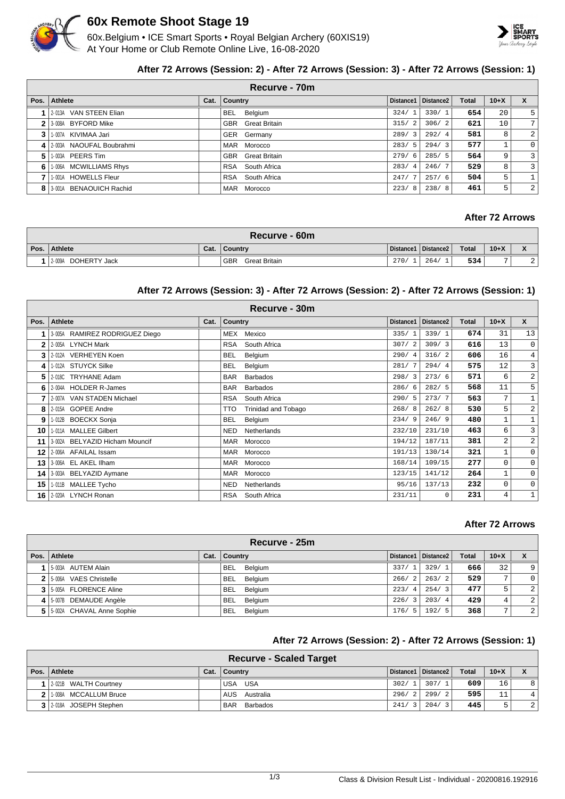

## **60x Remote Shoot Stage 19**

60x.Belgium • ICE Smart Sports • Royal Belgian Archery (60XIS19) At Your Home or Club Remote Online Live, 16-08-2020



#### **After 72 Arrows (Session: 2) - After 72 Arrows (Session: 3) - After 72 Arrows (Session: 1)**

|   | Recurve - 70m             |      |                          |       |                       |              |                 |                |  |
|---|---------------------------|------|--------------------------|-------|-----------------------|--------------|-----------------|----------------|--|
|   | Pos. Athlete              | Cat. | Country                  |       | Distance1   Distance2 | <b>Total</b> | $10+X$          | $\mathbf{x}$   |  |
|   | 2-013A VAN STEEN Elian    |      | <b>BEL</b><br>Belgium    | 324/1 | 330/1                 | 654          | 20              | 5 <sup>1</sup> |  |
|   | 2 3-008A BYFORD Mike      |      | <b>GBR</b> Great Britain | 315/2 | 306/2                 | 621          | 10 <sup>1</sup> | 7 <sup>1</sup> |  |
| 3 | 1-007A KIVIMAA Jari       |      | GER Germany              | 289/3 | 292/4                 | 581          | 8               | $\overline{2}$ |  |
|   | 4 2003A NAOUFAL Boubrahmi |      | MAR Morocco              | 283/5 | 294/3                 | 577          |                 | $\overline{0}$ |  |
| 5 | 1-003A PEERS Tim          |      | <b>GBR</b> Great Britain | 279/6 | 285/5                 | 564          | 9               | $\overline{3}$ |  |
| 6 | 1-006A MCWILLIAMS Rhys    |      | RSA South Africa         | 283/4 | 246/7                 | 529          | 8               | $\overline{3}$ |  |
|   | 1-001A HOWELLS Fleur      |      | RSA South Africa         | 247/7 | 257/6                 | 504          | 5               |                |  |
|   | 8 3001A BENAOUICH Rachid  |      | MAR Morocco              | 223/8 | 238/8                 | 461          | 5               | $\overline{2}$ |  |

## **After 72 Arrows**

| Recurve - 60m          |      |                             |                       |     |              |        |                              |  |  |
|------------------------|------|-----------------------------|-----------------------|-----|--------------|--------|------------------------------|--|--|
| Pos. Athlete           | Cat. | <b>Country</b>              | Distance1   Distance2 |     | <b>Total</b> | $10+X$ | $\mathbf{v}$<br>$\mathbf{v}$ |  |  |
| DOHERTY Jack<br>2-009A |      | <b>GBR</b><br>Great Britain | 270/                  | 264 | 534          |        | $\Omega$<br>▵                |  |  |

#### **After 72 Arrows (Session: 3) - After 72 Arrows (Session: 2) - After 72 Arrows (Session: 1)**

| Recurve - 30m  |                                |      |                               |           |                       |       |                |                |  |  |
|----------------|--------------------------------|------|-------------------------------|-----------|-----------------------|-------|----------------|----------------|--|--|
| Pos.           | <b>Athlete</b>                 | Cat. | Country                       | Distance1 | Distance <sub>2</sub> | Total | $10+X$         | $\mathsf{x}$   |  |  |
|                | 3-005A RAMIREZ RODRIGUEZ Diego |      | Mexico<br>MEX                 | 335/1     | 339/1                 | 674   | 31             | 13             |  |  |
| $\overline{2}$ | <b>LYNCH Mark</b><br>2-005A    |      | South Africa<br><b>RSA</b>    | 307/2     | 309/3                 | 616   | 13             | 0              |  |  |
| 3              | 2-012A VERHEYEN Koen           |      | <b>BEL</b><br>Belgium         | 290/4     | 316/2                 | 606   | 16             | $\overline{4}$ |  |  |
| 4              | 1-012A STUYCK Silke            |      | <b>BEL</b><br>Belgium         | 281/7     | 294/4                 | 575   | 12             | 3              |  |  |
| 5              | 2-018C TRYHANE Adam            |      | <b>Barbados</b><br><b>BAR</b> | 298/3     | 273/6                 | 571   | 6              | $\overline{a}$ |  |  |
| 6              | 2-004A HOLDER R-James          |      | <b>BAR</b><br><b>Barbados</b> | 286/6     | 282/5                 | 568   | 11             | 5              |  |  |
|                | 2-007A VAN STADEN Michael      |      | <b>RSA</b><br>South Africa    | 290/5     | 273/7                 | 563   | 7              | $\mathbf 1$    |  |  |
| 8              | 2-015A GOPEE Andre             |      | TTO<br>Trinidad and Tobago    | 268/8     | 262/8                 | 530   | 5              | $\overline{a}$ |  |  |
| 9              | 1-012B BOECKX Sonja            |      | <b>BEL</b><br>Belgium         | 234/9     | 246/9                 | 480   | 1              |                |  |  |
| 10             | 1-011A MALLEE Gilbert          |      | <b>NED</b><br>Netherlands     | 232/10    | 231/10                | 463   | 6              | 3              |  |  |
| 11             | 3-002A BELYAZID Hicham Mouncif |      | <b>MAR</b><br>Morocco         | 194/12    | 187/11                | 381   | $\overline{a}$ | $\overline{a}$ |  |  |
| 12             | 2-006A AFAILAL Issam           |      | <b>MAR</b><br>Morocco         | 191/13    | 130/14                | 321   | 1              | $\mathbf 0$    |  |  |
| 13             | 3-006A EL AKEL IIham           |      | <b>MAR</b><br>Morocco         | 168/14    | 109/15                | 277   | 0              | 0              |  |  |
| 14             | 3-003A BELYAZID Aymane         |      | <b>MAR</b><br>Morocco         | 123/15    | 141/12                | 264   | 1              | $\mathbf{0}$   |  |  |
| 15             | 1-011B MALLEE Tycho            |      | <b>NED</b><br>Netherlands     | 95/16     | 137/13                | 232   | 0              | $\mathbf 0$    |  |  |
| 16             | 2-020A LYNCH Ronan             |      | RSA<br>South Africa           | 231/11    | 0                     | 231   | 4              | 1              |  |  |

#### **After 72 Arrows**

| Recurve - 25m                 |      |                       |                        |                       |              |                |                |  |
|-------------------------------|------|-----------------------|------------------------|-----------------------|--------------|----------------|----------------|--|
| Pos. Athlete                  | Cat. | <b>Country</b>        |                        | Distance1   Distance2 | <b>Total</b> | $10+X$         |                |  |
| 5-003A AUTEM Alain            |      | <b>BEL</b><br>Belgium | 337/1                  | 329/1                 | 666          | 32             | 9              |  |
| 2 5-006A VAES Christelle      |      | <b>BEL</b><br>Belgium | 266/<br>$\overline{2}$ | 263/2                 | 529          | $\overline{7}$ |                |  |
| 3 5-005A FLORENCE Aline       |      | <b>BEL</b><br>Belgium | 223/<br>-4             | 254/3                 | 477          | 5.             | 2              |  |
| 4 5-007B DEMAUDE Angèle       |      | BEL.<br>Belgium       | 226/<br>-3             | 203/4                 | 429          | 4              | 2              |  |
| 5   5-002A CHAVAL Anne Sophie |      | <b>BEL</b><br>Belgium | 176/5                  | 192/5                 | 368          | $\mathbf{r}$   | $\overline{2}$ |  |

## **After 72 Arrows (Session: 2) - After 72 Arrows (Session: 1)**

| <b>Recurve - Scaled Target</b> |      |                        |       |                       |              |          |   |  |  |
|--------------------------------|------|------------------------|-------|-----------------------|--------------|----------|---|--|--|
| Pos. Athlete                   | Cat. | ∣ Country              |       | Distance1   Distance2 | <b>Total</b> | $10 + X$ |   |  |  |
| 2-021B WALTH Courtney          |      | USA USA                | 302/1 | 307/1                 | 609          | 16       | 8 |  |  |
| 2   1-008A MCCALLUM Bruce      |      | AUS Australia          | 296/2 | 299/2                 | 595          | 11       | 4 |  |  |
| 3 2018 JOSEPH Stephen          |      | <b>BAR</b><br>Barbados | 241/3 | 204/3                 | 445          | 5        | 2 |  |  |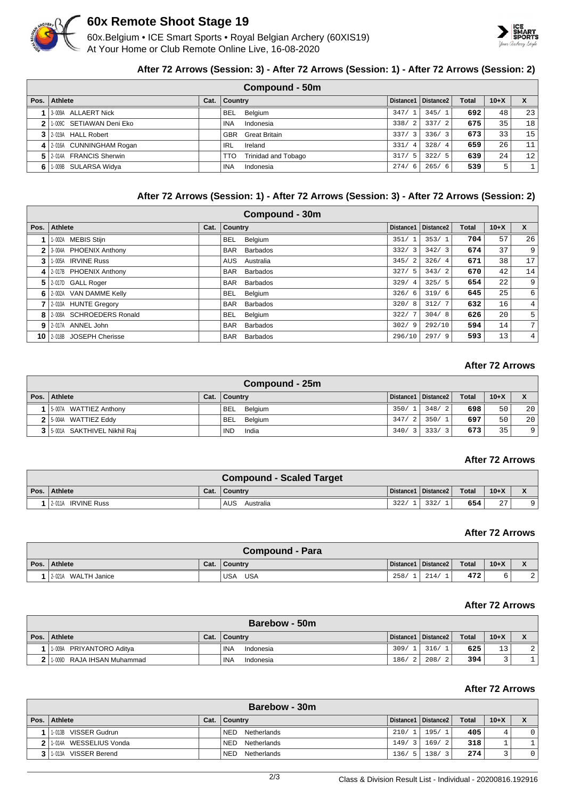

# **60x Remote Shoot Stage 19**

60x.Belgium • ICE Smart Sports • Royal Belgian Archery (60XIS19) At Your Home or Club Remote Online Live, 16-08-2020



#### **After 72 Arrows (Session: 3) - After 72 Arrows (Session: 1) - After 72 Arrows (Session: 2)**

|      | Compound - 50m           |      |                                   |                        |                       |              |        |    |  |  |
|------|--------------------------|------|-----------------------------------|------------------------|-----------------------|--------------|--------|----|--|--|
| Pos. | Athlete                  | Cat. | <b>Country</b>                    |                        | Distance1   Distance2 | <b>Total</b> | $10+X$ | X  |  |  |
|      | 3-009A ALLAERT Nick      |      | Belgium<br><b>BEL</b>             | 347/1                  | 345/1                 | 692          | 48     | 23 |  |  |
|      | 1-009C SETIAWAN Deni Eko |      | Indonesia<br><b>INA</b>           | 338/2                  | 337/2                 | 675          | 35     | 18 |  |  |
|      | 3 2-019A HALL Robert     |      | <b>GBR</b> Great Britain          | 337/3                  | 336/3                 | 673          | 331    | 15 |  |  |
|      | 4 2016A CUNNINGHAM Rogan |      | Ireland<br>IRL                    | 331/<br>$\overline{4}$ | 328/4                 | 659          | 26     | 11 |  |  |
|      | 5 2014 FRANCIS Sherwin   |      | <b>Trinidad and Tobago</b><br>TTO | 317/5                  | 322/5                 | 639          | 24     | 12 |  |  |
|      | 6 1.009B SULARSA Widya   |      | <b>INA</b><br>Indonesia           | 274/6                  | 265/6                 | 539          | 5      |    |  |  |

### **After 72 Arrows (Session: 1) - After 72 Arrows (Session: 3) - After 72 Arrows (Session: 2)**

|      | Compound - 30m              |      |                         |           |                       |              |                 |                  |  |  |  |  |
|------|-----------------------------|------|-------------------------|-----------|-----------------------|--------------|-----------------|------------------|--|--|--|--|
| Pos. | Athlete                     | Cat. | <b>Country</b>          | Distance1 | Distance <sub>2</sub> | <b>Total</b> | $10+X$          | $\mathsf{x}$     |  |  |  |  |
|      | 1-002A MEBIS Stijn          |      | Belgium<br><b>BEL</b>   | 351/1     | 353/1                 | 704          | 57              | 26               |  |  |  |  |
| 2    | 3-004A PHOENIX Anthony      |      | Barbados<br><b>BAR</b>  | 332/3     | 342/3                 | 674          | 37 <sub>1</sub> | 9                |  |  |  |  |
| 3    | 1-005A IRVINE Russ          |      | <b>AUS</b><br>Australia | 345/2     | 326/4                 | 671          | 38              | 17 <sup>1</sup>  |  |  |  |  |
|      | 4 2-017B PHOENIX Anthony    |      | <b>BAR</b> Barbados     | 327/5     | 343/2                 | 670          | 42              | 14               |  |  |  |  |
| 5.   | 2-017D GALL Roger           |      | <b>BAR</b><br>Barbados  | 329/4     | 325/5                 | 654          | 22              | 9 <sup>°</sup>   |  |  |  |  |
| 6.   | 2-002A VAN DAMME Kelly      |      | <b>BEL</b><br>Belgium   | 326/6     | 319/6                 | 645          | 25              | $6 \overline{6}$ |  |  |  |  |
|      | 2-010A HUNTE Gregory        |      | <b>BAR</b><br>Barbados  | 320/8     | 312/7                 | 632          | 16 <sub>1</sub> | 4 <sup>1</sup>   |  |  |  |  |
| 8    | 2-008A SCHROEDERS Ronald    |      | BEL.<br>Belgium         | 322/7     | 304/8                 | 626          | 20              | 5 <sup>1</sup>   |  |  |  |  |
|      | 9 2-017A ANNEL John         |      | <b>BAR</b><br>Barbados  | 302/9     | 292/10                | 594          | 14              | 7 <sup>1</sup>   |  |  |  |  |
|      | 10   2-018B JOSEPH Cherisse |      | Barbados<br><b>BAR</b>  | 296/10    | 297/9                 | 593          | 13              | 4 <sup>1</sup>   |  |  |  |  |

## **After 72 Arrows**

| Compound - 25m                |      |                       |       |                       |              |        |                |  |  |
|-------------------------------|------|-----------------------|-------|-----------------------|--------------|--------|----------------|--|--|
| Pos.   Athlete                | Cat. | Country               |       | Distance1   Distance2 | <b>Total</b> | $10+X$ |                |  |  |
| 5-007A WATTIEZ Anthony        |      | <b>BEL</b><br>Belgium | 350/1 | 348/2                 | 698          | 50     | 20             |  |  |
| $2$ 5-004A WATTIEZ Eddy       |      | BEL Belgium           | 347/2 | 350/1                 | 697          | 50     | 20             |  |  |
| 3 5-001A SAKTHIVEL Nikhil Raj |      | <b>IND</b><br>India   | 340/3 | 333/                  | 673          | 35     | $\overline{9}$ |  |  |

#### **After 72 Arrows**

| <b>Compound - Scaled Target</b> |      |                         |      |                       |       |                 |  |  |  |  |
|---------------------------------|------|-------------------------|------|-----------------------|-------|-----------------|--|--|--|--|
| Pos. Athlete                    | Cat. | Country                 |      | Distance1   Distance2 | Total | $10+X$          |  |  |  |  |
| 12-011A IRVINE Russ             |      | <b>AUS</b><br>Australia | 322/ | 332/                  | 654   | $\sqrt{7}$<br>4 |  |  |  |  |

#### **After 72 Arrows**

|      | Compound - Para        |      |                   |      |                       |              |        |             |  |  |
|------|------------------------|------|-------------------|------|-----------------------|--------------|--------|-------------|--|--|
| Pos. | Athlete                | Cat. | <b>Country</b>    |      | Distance1   Distance2 | <b>Total</b> | $10+X$ |             |  |  |
|      | WALTH Janice<br>2-021A |      | <b>USA</b><br>USA | 258/ | $\sim$<br>214/        | 472          |        | $\sim$<br>▵ |  |  |

#### **After 72 Arrows**

| <b>Barebow - 50m</b>         |      |                         |             |                       |              |        |        |  |  |
|------------------------------|------|-------------------------|-------------|-----------------------|--------------|--------|--------|--|--|
| Pos.   Athlete               | Cat. | <b>Country</b>          |             | Distance1   Distance2 | <b>Total</b> | $10+X$ |        |  |  |
| 1-009A PRIYANTORO Aditya     |      | <b>INA</b><br>Indonesia | 309/        | 316/                  | 625          | 13     | $\sim$ |  |  |
| 2 1:009D RAJA IHSAN Muhammad |      | <b>INA</b><br>Indonesia | 186/<br>-21 | 208/2                 | 394          |        |        |  |  |

#### **After 72 Arrows**

|      | <b>Barebow - 30m</b>       |      |                           |       |                       |              |          |         |  |  |
|------|----------------------------|------|---------------------------|-------|-----------------------|--------------|----------|---------|--|--|
| Pos. | <b>Athlete</b>             | Cat. | <b>Country</b>            |       | Distance1   Distance2 | <b>Total</b> | $10 + X$ |         |  |  |
|      | 1-013B VISSER Gudrun       |      | <b>NED</b><br>Netherlands | 210/  | 195/1                 | 405          | 4        | $\circ$ |  |  |
|      | 2 1 1 014A WESSELIUS Vonda |      | Netherlands<br><b>NED</b> | 149/3 | 169/2                 | 318          |          |         |  |  |
|      | VISSER Berend<br>1-013A    |      | Netherlands<br><b>NED</b> | 136/5 | 138/3                 | 274          |          | $\circ$ |  |  |